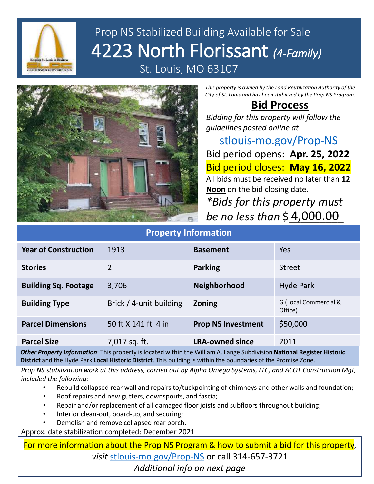

# Prop NS Stabilized Building Available for Sale 4223 North Florissant *(4-Family)* St. Louis, MO 63107



*This property is owned by the Land Reutilization Authority of the City of St. Louis and has been stabilized by the Prop NS Program.*

#### **Bid Process**

*Bidding for this property will follow the guidelines posted online at* 

[stlouis-mo.gov/Prop-NS](https://stlouis-mo.gov/Prop-NS) Bid period opens: **Apr. 25, 2022** Bid period closes: **May 16, 2022** All bids must be received no later than **12 Noon** on the bid closing date.

*\*Bids for this property must be no less than* \$\_\_\_\_\_\_\_\_\_ 4,000.00

| <b>Property Information</b> |                         |                           |                                  |
|-----------------------------|-------------------------|---------------------------|----------------------------------|
| <b>Year of Construction</b> | 1913                    | <b>Basement</b>           | Yes                              |
| <b>Stories</b>              | $\overline{2}$          | <b>Parking</b>            | <b>Street</b>                    |
| <b>Building Sq. Footage</b> | 3,706                   | <b>Neighborhood</b>       | <b>Hyde Park</b>                 |
| <b>Building Type</b>        | Brick / 4-unit building | <b>Zoning</b>             | G (Local Commercial &<br>Office) |
| <b>Parcel Dimensions</b>    | 50 ft X 141 ft 4 in     | <b>Prop NS Investment</b> | \$50,000                         |
| <b>Parcel Size</b>          | 7,017 sq. ft.           | <b>LRA-owned since</b>    | 2011                             |

*Other Property Information*: This property is located within the William A. Lange Subdivision **National Register Historic District** and the Hyde Park **Local Historic District**. This building is within the boundaries of the Promise Zone.

*Prop NS stabilization work at this address, carried out by Alpha Omega Systems, LLC, and ACOT Construction Mgt, included the following:*

- Rebuild collapsed rear wall and repairs to/tuckpointing of chimneys and other walls and foundation;
- Roof repairs and new gutters, downspouts, and fascia;
- Repair and/or replacement of all damaged floor joists and subfloors throughout building;
- Interior clean-out, board-up, and securing;
- Demolish and remove collapsed rear porch.

Approx. date stabilization completed: December 2021

For more information about the Prop NS Program & how to submit a bid for this property, *visit* [stlouis-mo.gov/Prop-NS](https://stlouis-mo.gov/Prop-NS) or call 314-657-3721 *Additional info on next page*